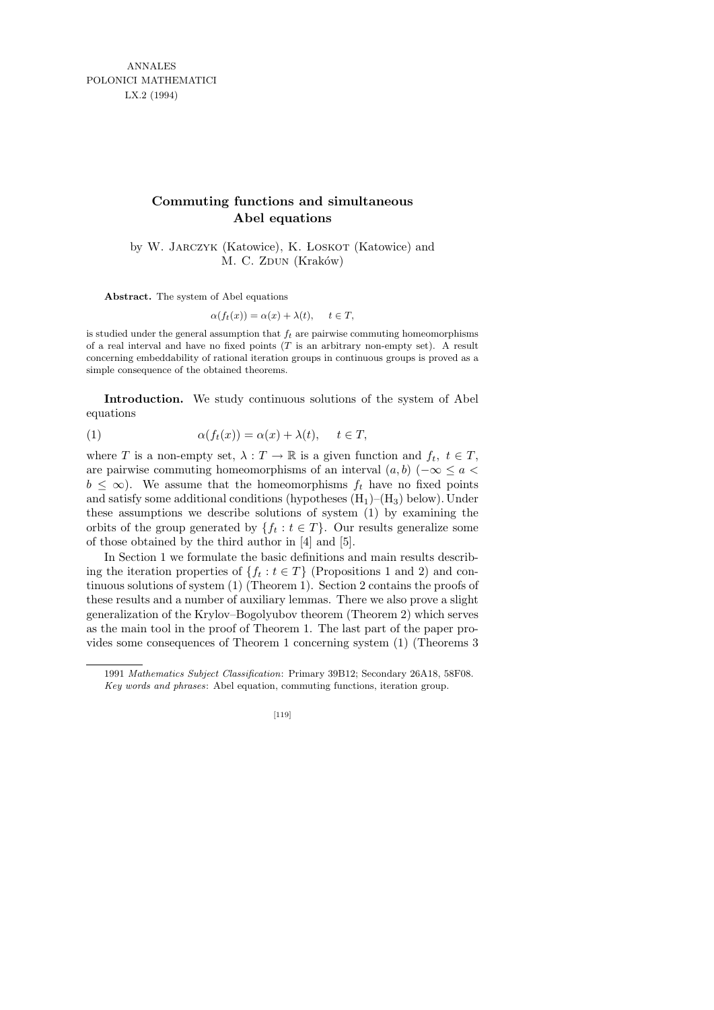ANNALES POLONICI MATHEMATICI LX.2 (1994)

## **Commuting functions and simultaneous Abel equations**

by W. JARCZYK (Katowice), K. LOSKOT (Katowice) and M. C. ZDUN (Kraków)

**Abstract.** The system of Abel equations

$$
\alpha(f_t(x)) = \alpha(x) + \lambda(t), \quad t \in T,
$$

is studied under the general assumption that  $f_t$  are pairwise commuting homeomorphisms of a real interval and have no fixed points (*T* is an arbitrary non-empty set). A result concerning embeddability of rational iteration groups in continuous groups is proved as a simple consequence of the obtained theorems.

Introduction. We study continuous solutions of the system of Abel equations

(1) 
$$
\alpha(f_t(x)) = \alpha(x) + \lambda(t), \quad t \in T,
$$

where T is a non-empty set,  $\lambda : T \to \mathbb{R}$  is a given function and  $f_t, t \in T$ , are pairwise commuting homeomorphisms of an interval  $(a, b)$  ( $-\infty \le a$  $b \leq \infty$ ). We assume that the homeomorphisms  $f_t$  have no fixed points and satisfy some additional conditions (hypotheses  $(H_1)$ – $(H_3)$  below). Under these assumptions we describe solutions of system (1) by examining the orbits of the group generated by  $\{f_t : t \in T\}$ . Our results generalize some of those obtained by the third author in [4] and [5].

In Section 1 we formulate the basic definitions and main results describing the iteration properties of  $\{f_t : t \in T\}$  (Propositions 1 and 2) and continuous solutions of system (1) (Theorem 1). Section 2 contains the proofs of these results and a number of auxiliary lemmas. There we also prove a slight generalization of the Krylov–Bogolyubov theorem (Theorem 2) which serves as the main tool in the proof of Theorem 1. The last part of the paper provides some consequences of Theorem 1 concerning system (1) (Theorems 3

<sup>1991</sup> *Mathematics Subject Classification*: Primary 39B12; Secondary 26A18, 58F08. *Key words and phrases*: Abel equation, commuting functions, iteration group.

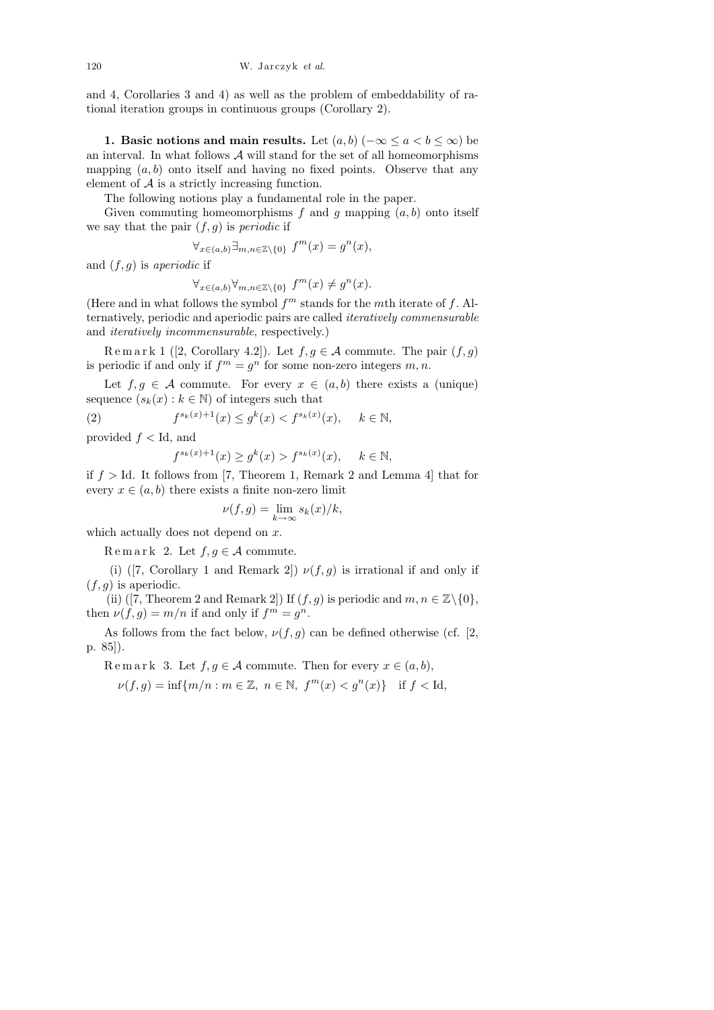and 4, Corollaries 3 and 4) as well as the problem of embeddability of rational iteration groups in continuous groups (Corollary 2).

1. Basic notions and main results. Let  $(a, b)$  ( $-\infty \le a < b \le \infty$ ) be an interval. In what follows  $A$  will stand for the set of all homeomorphisms mapping  $(a, b)$  onto itself and having no fixed points. Observe that any element of  $A$  is a strictly increasing function.

The following notions play a fundamental role in the paper.

Given commuting homeomorphisms  $f$  and  $g$  mapping  $(a, b)$  onto itself we say that the pair  $(f, g)$  is *periodic* if

 $\forall_{x\in(a,b)}\exists_{m,n\in\mathbb{Z}\setminus\{0\}} f^m(x) = g^n(x),$ 

and  $(f, g)$  is aperiodic if

 $\forall_{x \in (a,b)} \forall_{m,n \in \mathbb{Z} \setminus \{0\}} f^m(x) \neq g^n(x).$ 

(Here and in what follows the symbol  $f<sup>m</sup>$  stands for the *mth* iterate of f. Alternatively, periodic and aperiodic pairs are called iteratively commensurable and iteratively incommensurable, respectively.)

Remark 1 ([2, Corollary 4.2]). Let  $f, g \in \mathcal{A}$  commute. The pair  $(f, g)$ is periodic if and only if  $f<sup>m</sup> = g<sup>n</sup>$  for some non-zero integers  $m, n$ .

Let  $f, g \in \mathcal{A}$  commute. For every  $x \in (a, b)$  there exists a (unique) sequence  $(s_k(x): k \in \mathbb{N})$  of integers such that

 $(2)$  $s_k(x)+1(x) \leq g^k(x) < f^{s_k(x)}(x), \quad k \in \mathbb{N},$ 

provided  $f <$  Id, and

$$
f^{s_k(x)+1}(x) \ge g^k(x) > f^{s_k(x)}(x), \quad k \in \mathbb{N},
$$

if  $f > Id$ . It follows from [7, Theorem 1, Remark 2 and Lemma 4] that for every  $x \in (a, b)$  there exists a finite non-zero limit

$$
\nu(f,g) = \lim_{k \to \infty} s_k(x)/k,
$$

which actually does not depend on  $x$ .

R e m a r k 2. Let  $f, g \in \mathcal{A}$  commute.

(i) ([7, Corollary 1 and Remark 2])  $\nu(f, g)$  is irrational if and only if  $(f, g)$  is aperiodic.

(ii) ([7, Theorem 2 and Remark 2]) If  $(f, g)$  is periodic and  $m, n \in \mathbb{Z}\backslash\{0\},$ then  $\nu(f,g) = m/n$  if and only if  $f^m = g^n$ .

As follows from the fact below,  $\nu(f, g)$  can be defined otherwise (cf. [2, p. 85]).

Remark 3. Let  $f, g \in \mathcal{A}$  commute. Then for every  $x \in (a, b)$ ,

$$
\nu(f,g) = \inf\{m/n : m \in \mathbb{Z}, n \in \mathbb{N}, f^m(x) < g^n(x)\} \quad \text{if } f < \text{Id},
$$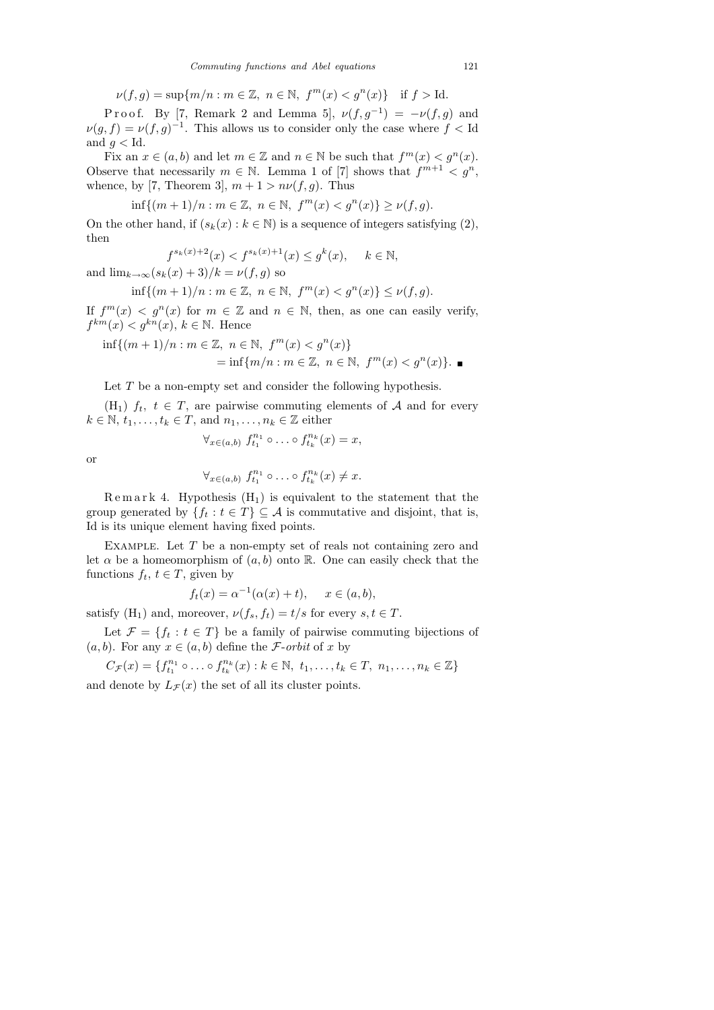$$
\nu(f,g) = \sup\{m/n : m \in \mathbb{Z}, \ n \in \mathbb{N}, \ f^m(x) < g^n(x)\} \quad \text{if } f > \text{Id}.
$$

P r o o f. By [7, Remark 2 and Lemma 5],  $\nu(f,g^{-1}) = -\nu(f,g)$  and  $\nu(g, f) = \nu(f, g)^{-1}$ . This allows us to consider only the case where  $f <$  Id and  $g <$  Id.

Fix an  $x \in (a, b)$  and let  $m \in \mathbb{Z}$  and  $n \in \mathbb{N}$  be such that  $f^m(x) < g^n(x)$ . Observe that necessarily  $m \in \mathbb{N}$ . Lemma 1 of [7] shows that  $f^{m+1} < g^n$ , whence, by [7, Theorem 3],  $m + 1 > n\nu(f, g)$ . Thus

$$
\inf\{(m+1)/n : m \in \mathbb{Z}, n \in \mathbb{N}, f^m(x) < g^n(x)\} \ge \nu(f, g).
$$

On the other hand, if  $(s_k(x): k \in \mathbb{N})$  is a sequence of integers satisfying (2), then

$$
f^{s_k(x)+2}(x) < f^{s_k(x)+1}(x) \le g^k(x), \quad k \in \mathbb{N},
$$

and  $\lim_{k\to\infty}$  $(s_k(x) + 3)/k = \nu(f, g)$  so

$$
\inf\{(m+1)/n : m \in \mathbb{Z}, n \in \mathbb{N}, f^m(x) < g^n(x)\} \le \nu(f, g).
$$

If  $f^{m}(x) < g^{n}(x)$  for  $m \in \mathbb{Z}$  and  $n \in \mathbb{N}$ , then, as one can easily verify,  $f^{km}(x) < g^{kn}(x), k \in \mathbb{N}$ . Hence

$$
\inf\{(m+1)/n : m \in \mathbb{Z}, n \in \mathbb{N}, f^m(x) < g^n(x)\} \\
= \inf\{m/n : m \in \mathbb{Z}, n \in \mathbb{N}, f^m(x) < g^n(x)\}.\n\blacksquare
$$

Let  $T$  be a non-empty set and consider the following hypothesis.

(H<sub>1</sub>)  $f_t$ ,  $t \in T$ , are pairwise commuting elements of A and for every  $k \in \mathbb{N}, t_1, \ldots, t_k \in T$ , and  $n_1, \ldots, n_k \in \mathbb{Z}$  either

$$
\forall_{x \in (a,b)} f_{t_1}^{n_1} \circ \ldots \circ f_{t_k}^{n_k}(x) = x,
$$

$$
\sum_{i=1}^{n} x_i
$$

$$
\forall_{x \in (a,b)} \ f_{t_1}^{n_1} \circ \ldots \circ f_{t_k}^{n_k}(x) \neq x.
$$

 $\text{Remar }k$  4. Hypothesis  $(H_1)$  is equivalent to the statement that the group generated by  $\{f_t : t \in T\} \subseteq \mathcal{A}$  is commutative and disjoint, that is, Id is its unique element having fixed points.

EXAMPLE. Let  $T$  be a non-empty set of reals not containing zero and let  $\alpha$  be a homeomorphism of  $(a, b)$  onto R. One can easily check that the functions  $f_t, t \in T$ , given by

$$
f_t(x) = \alpha^{-1}(\alpha(x) + t), \quad x \in (a, b),
$$

satisfy  $(H_1)$  and, moreover,  $\nu(f_s, f_t) = t/s$  for every  $s, t \in T$ .

Let  $\mathcal{F} = \{f_t : t \in T\}$  be a family of pairwise commuting bijections of  $(a, b)$ . For any  $x \in (a, b)$  define the *F*-orbit of x by

$$
C_{\mathcal{F}}(x) = \{f_{t_1}^{n_1} \circ \ldots \circ f_{t_k}^{n_k}(x) : k \in \mathbb{N}, t_1, \ldots, t_k \in T, n_1, \ldots, n_k \in \mathbb{Z}\}\
$$

and denote by  $L_{\mathcal{F}}(x)$  the set of all its cluster points.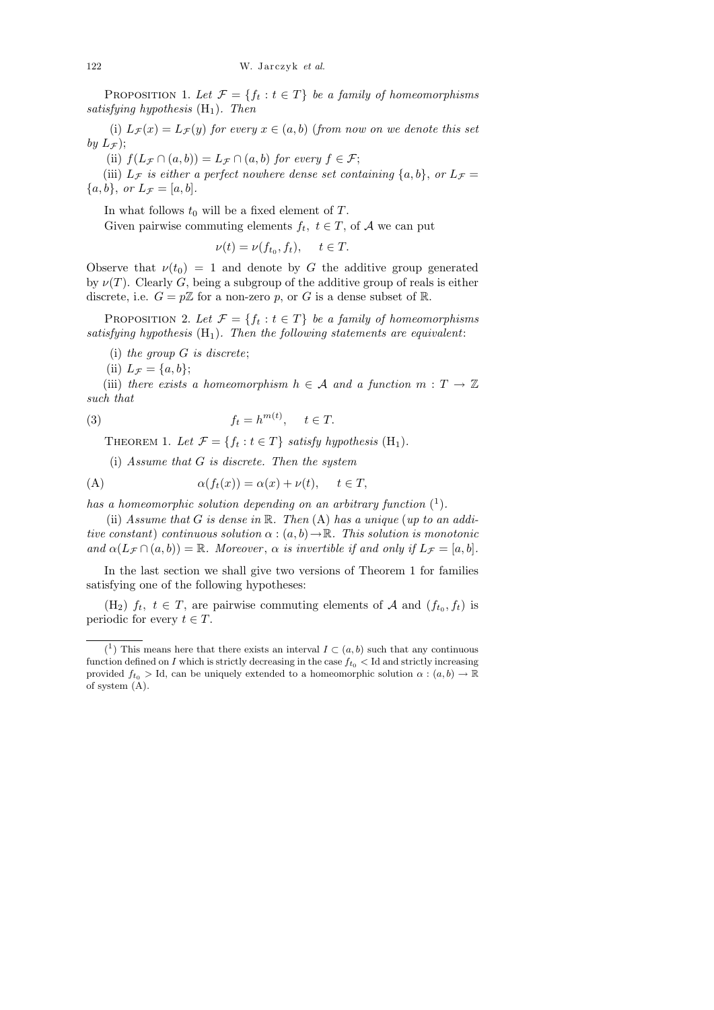PROPOSITION 1. Let  $\mathcal{F} = \{f_t : t \in T\}$  be a family of homeomorphisms satisfying hypothesis  $(H_1)$ . Then

(i)  $L_{\mathcal{F}}(x) = L_{\mathcal{F}}(y)$  for every  $x \in (a, b)$  (from now on we denote this set by  $L_{\mathcal{F}}$ );

(ii)  $f(L_{\mathcal{F}} \cap (a, b)) = L_{\mathcal{F}} \cap (a, b)$  for every  $f \in \mathcal{F}$ ;

(iii)  $L_{\mathcal{F}}$  is either a perfect nowhere dense set containing  $\{a, b\}$ , or  $L_{\mathcal{F}} =$  ${a,b}, \text{ or } L_{\mathcal{F}} = [a,b].$ 

In what follows  $t_0$  will be a fixed element of  $T$ . Given pairwise commuting elements  $f_t, t \in T$ , of A we can put

$$
\nu(t) = \nu(f_{t_0}, f_t), \quad t \in T.
$$

Observe that  $\nu(t_0) = 1$  and denote by G the additive group generated by  $\nu(T)$ . Clearly G, being a subgroup of the additive group of reals is either discrete, i.e.  $G = p\mathbb{Z}$  for a non-zero p, or G is a dense subset of R.

PROPOSITION 2. Let  $\mathcal{F} = \{f_t : t \in T\}$  be a family of homeomorphisms satisfying hypothesis  $(H_1)$ . Then the following statements are equivalent:

(i) the group G is discrete;

(ii)  $L_{\mathcal{F}} = \{a, b\};$ 

(iii) there exists a homeomorphism  $h \in \mathcal{A}$  and a function  $m : T \to \mathbb{Z}$ such that

(3) 
$$
f_t = h^{m(t)}, \quad t \in T.
$$

THEOREM 1. Let  $\mathcal{F} = \{f_t : t \in T\}$  satisfy hypothesis  $(H_1)$ .

(i) Assume that G is discrete. Then the system

(A) 
$$
\alpha(f_t(x)) = \alpha(x) + \nu(t), \quad t \in T,
$$

has a homeomorphic solution depending on an arbitrary function  $(1)$ .

(ii) Assume that  $G$  is dense in  $\mathbb R$ . Then  $(A)$  has a unique (up to an additive constant) continuous solution  $\alpha : (a, b) \to \mathbb{R}$ . This solution is monotonic and  $\alpha(L_{\mathcal{F}} \cap (a, b)) = \mathbb{R}$ . Moreover,  $\alpha$  is invertible if and only if  $L_{\mathcal{F}} = [a, b]$ .

In the last section we shall give two versions of Theorem 1 for families satisfying one of the following hypotheses:

 $(H_2)$   $f_t$ ,  $t \in T$ , are pairwise commuting elements of A and  $(f_{t_0}, f_t)$  is periodic for every  $t \in T$ .

<sup>&</sup>lt;sup>(1</sup>) This means here that there exists an interval  $I \subset (a, b)$  such that any continuous function defined on *I* which is strictly decreasing in the case  $f_{t_0}$  < Id and strictly increasing provided  $f_{t_0} >$  Id, can be uniquely extended to a homeomorphic solution  $\alpha : (a, b) \to \mathbb{R}$ of system (A).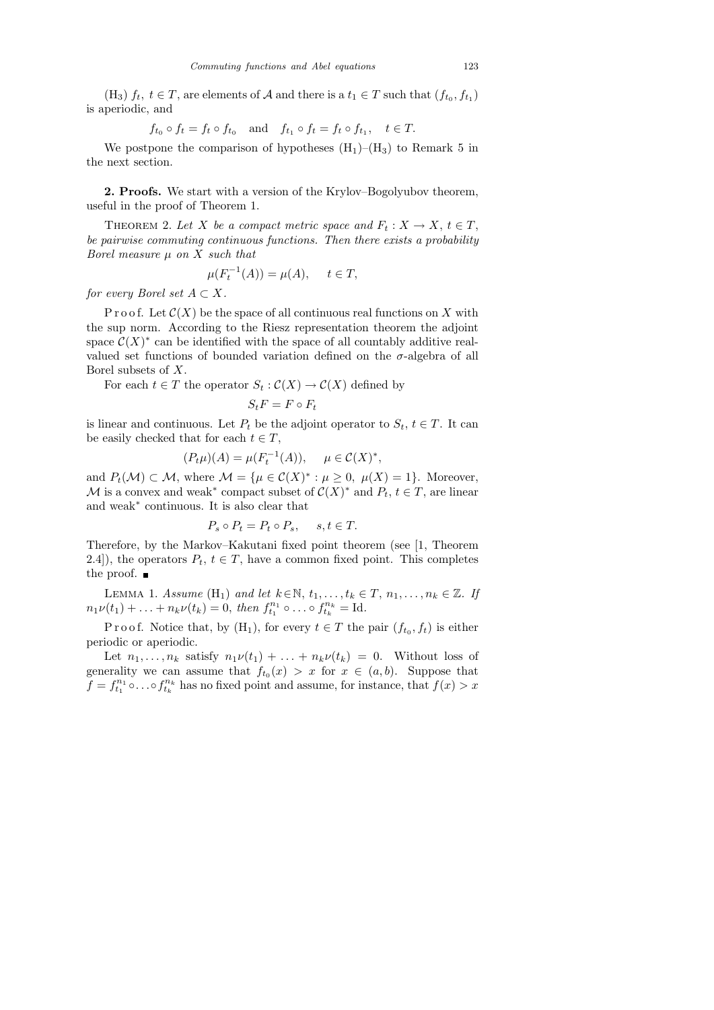(H<sub>3</sub>)  $f_t$ ,  $t \in T$ , are elements of A and there is a  $t_1 \in T$  such that  $(f_{t_0}, f_{t_1})$ is aperiodic, and

$$
f_{t_0} \circ f_t = f_t \circ f_{t_0}
$$
 and  $f_{t_1} \circ f_t = f_t \circ f_{t_1}$ ,  $t \in T$ .

We postpone the comparison of hypotheses  $(H_1)$ – $(H_3)$  to Remark 5 in the next section.

2. Proofs. We start with a version of the Krylov–Bogolyubov theorem, useful in the proof of Theorem 1.

THEOREM 2. Let X be a compact metric space and  $F_t: X \to X, t \in T$ , be pairwise commuting continuous functions. Then there exists a probability Borel measure  $\mu$  on X such that

$$
\mu(F_t^{-1}(A)) = \mu(A), \quad t \in T,
$$

for every Borel set  $A \subset X$ .

P r o o f. Let  $\mathcal{C}(X)$  be the space of all continuous real functions on X with the sup norm. According to the Riesz representation theorem the adjoint space  $C(X)^*$  can be identified with the space of all countably additive realvalued set functions of bounded variation defined on the  $\sigma$ -algebra of all Borel subsets of X.

For each  $t \in T$  the operator  $S_t : C(X) \to C(X)$  defined by

$$
S_t F = F \circ F_t
$$

is linear and continuous. Let  $P_t$  be the adjoint operator to  $S_t$ ,  $t \in T$ . It can be easily checked that for each  $t \in T$ ,

$$
(P_t \mu)(A) = \mu(F_t^{-1}(A)), \quad \mu \in \mathcal{C}(X)^*,
$$

and  $P_t(\mathcal{M}) \subset \mathcal{M}$ , where  $\mathcal{M} = {\mu \in \mathcal{C}(X)^* : \mu \geq 0, \ \mu(X) = 1}.$  Moreover, M is a convex and weak<sup>\*</sup> compact subset of  $C(X)^*$  and  $P_t$ ,  $t \in T$ , are linear and weak<sup>∗</sup> continuous. It is also clear that

$$
P_s \circ P_t = P_t \circ P_s, \quad s, t \in T.
$$

Therefore, by the Markov–Kakutani fixed point theorem (see [1, Theorem 2.4]), the operators  $P_t$ ,  $t \in T$ , have a common fixed point. This completes the proof.  $\blacksquare$ 

LEMMA 1. Assume  $(H_1)$  and let  $k \in \mathbb{N}$ ,  $t_1, \ldots, t_k \in T$ ,  $n_1, \ldots, n_k \in \mathbb{Z}$ . If  $n_1\nu(t_1) + \ldots + n_k\nu(t_k) = 0$ , then  $f_{t_1}^{n_1} \circ \ldots \circ f_{t_k}^{n_k} = \text{Id}$ .

P r o o f. Notice that, by  $(H_1)$ , for every  $t \in T$  the pair  $(f_{t_0}, f_t)$  is either periodic or aperiodic.

Let  $n_1, \ldots, n_k$  satisfy  $n_1\nu(t_1) + \ldots + n_k\nu(t_k) = 0$ . Without loss of generality we can assume that  $f_{t_0}(x) > x$  for  $x \in (a, b)$ . Suppose that  $f = f_{t_1}^{n_1} \circ \ldots \circ f_{t_k}^{n_k}$  has no fixed point and assume, for instance, that  $f(x) > x$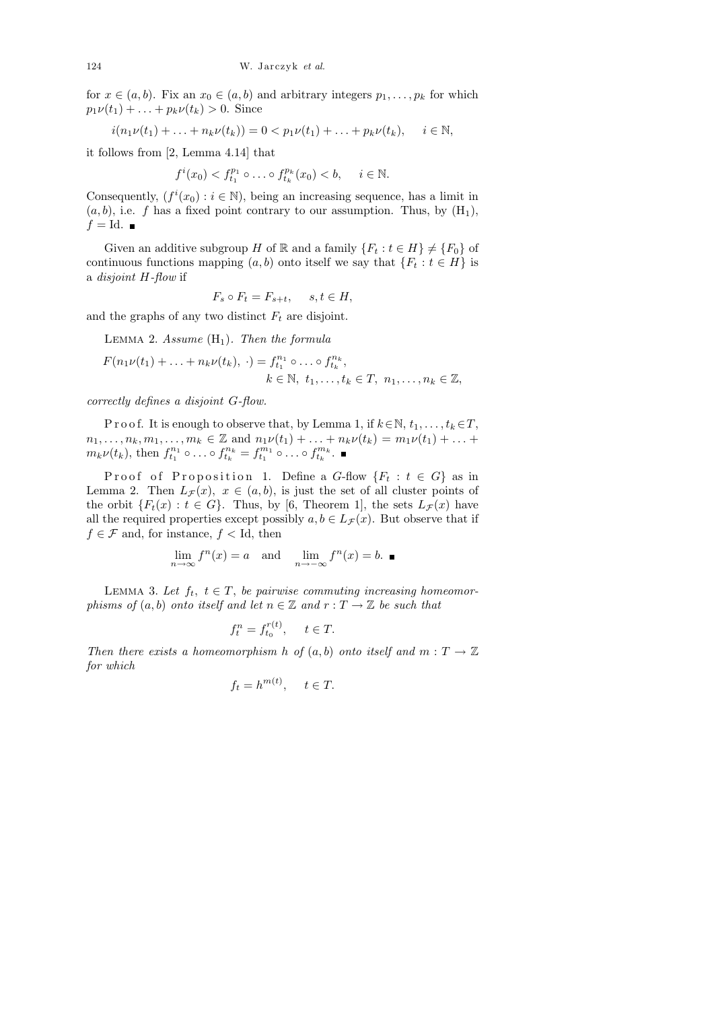for  $x \in (a, b)$ . Fix an  $x_0 \in (a, b)$  and arbitrary integers  $p_1, \ldots, p_k$  for which  $p_1\nu(t_1) + \ldots + p_k\nu(t_k) > 0$ . Since

$$
i(n_1\nu(t_1) + \ldots + n_k\nu(t_k)) = 0 < p_1\nu(t_1) + \ldots + p_k\nu(t_k), \quad i \in \mathbb{N},
$$

it follows from [2, Lemma 4.14] that

$$
f^{i}(x_0) < f^{p_1}_{t_1} \circ \dots \circ f^{p_k}_{t_k}(x_0) < b, \quad i \in \mathbb{N}.
$$

Consequently,  $(f^{i}(x_0) : i \in \mathbb{N})$ , being an increasing sequence, has a limit in  $(a, b)$ , i.e. f has a fixed point contrary to our assumption. Thus, by  $(H_1)$ ,  $f = Id.$ 

Given an additive subgroup H of R and a family  ${F_t : t \in H} \neq {F_0}$  of continuous functions mapping  $(a, b)$  onto itself we say that  $\{F_t : t \in H\}$  is a disjoint H-flow if

$$
F_s \circ F_t = F_{s+t}, \quad s, t \in H,
$$

and the graphs of any two distinct  $F_t$  are disjoint.

LEMMA 2. Assume  $(H_1)$ . Then the formula

$$
F(n_1\nu(t_1) + \ldots + n_k\nu(t_k), \cdot) = f_{t_1}^{n_1} \circ \ldots \circ f_{t_k}^{n_k},
$$
  
  $k \in \mathbb{N}, t_1, \ldots, t_k \in T, n_1, \ldots, n_k \in \mathbb{Z},$ 

correctly defines a disjoint G-flow.

P r o o f. It is enough to observe that, by Lemma 1, if  $k \in \mathbb{N}, t_1, \ldots, t_k \in T$ ,  $n_1, \ldots, n_k, m_1, \ldots, m_k \in \mathbb{Z}$  and  $n_1 \nu(t_1) + \ldots + n_k \nu(t_k) = m_1 \nu(t_1) + \ldots + m_k \nu(t_k)$  $m_k \nu(t_k)$ , then  $f_{t_1}^{n_1} \circ \dots \circ f_{t_k}^{n_k} = f_{t_1}^{m_1} \circ \dots \circ f_{t_k}^{m_k}$ .

Proof of Proposition 1. Define a  $G$ -flow  ${F_t : t \in G}$  as in Lemma 2. Then  $L_{\mathcal{F}}(x)$ ,  $x \in (a, b)$ , is just the set of all cluster points of the orbit  $\{F_t(x): t \in G\}$ . Thus, by [6, Theorem 1], the sets  $L_{\mathcal{F}}(x)$  have all the required properties except possibly  $a, b \in L_{\mathcal{F}}(x)$ . But observe that if  $f \in \mathcal{F}$  and, for instance,  $f <$  Id, then

$$
\lim_{n \to \infty} f^n(x) = a \text{ and } \lim_{n \to -\infty} f^n(x) = b. \blacksquare
$$

LEMMA 3. Let  $f_t$ ,  $t \in T$ , be pairwise commuting increasing homeomorphisms of  $(a, b)$  onto itself and let  $n \in \mathbb{Z}$  and  $r : T \to \mathbb{Z}$  be such that

$$
f_t^n = f_{t_0}^{r(t)}, \quad t \in T.
$$

Then there exists a homeomorphism h of  $(a, b)$  onto itself and  $m : T \to \mathbb{Z}$ for which

$$
f_t = h^{m(t)}, \quad t \in T.
$$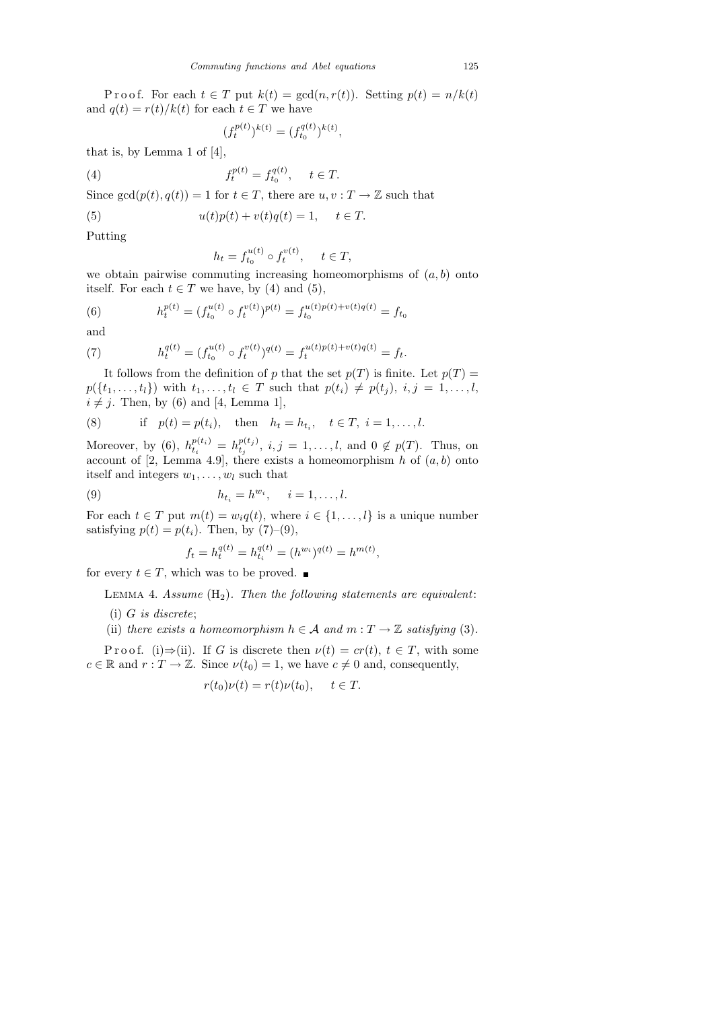P r o o f. For each  $t \in T$  put  $k(t) = \gcd(n, r(t))$ . Setting  $p(t) = n/k(t)$ and  $q(t) = r(t)/k(t)$  for each  $t \in T$  we have

$$
(f_t^{p(t)})^{k(t)} = (f_{t_0}^{q(t)})^{k(t)},
$$

that is, by Lemma 1 of [4],

(4) 
$$
f_t^{p(t)} = f_{t_0}^{q(t)}, \quad t \in T.
$$

Since  $gcd(p(t), q(t)) = 1$  for  $t \in T$ , there are  $u, v: T \to \mathbb{Z}$  such that

(5) 
$$
u(t)p(t) + v(t)q(t) = 1, \quad t \in T.
$$

Putting

$$
h_t = f_{t_0}^{u(t)} \circ f_t^{v(t)}, \quad t \in T,
$$

we obtain pairwise commuting increasing homeomorphisms of  $(a, b)$  onto itself. For each  $t \in T$  we have, by (4) and (5),

(6) 
$$
h_t^{p(t)} = (f_{t_0}^{u(t)} \circ f_t^{v(t)})^{p(t)} = f_{t_0}^{u(t)p(t) + v(t)q(t)} = f_{t_0}
$$

and

(7) 
$$
h_t^{q(t)} = (f_{t_0}^{u(t)} \circ f_t^{v(t)})^{q(t)} = f_t^{u(t)p(t)+v(t)q(t)} = f_t.
$$

It follows from the definition of p that the set  $p(T)$  is finite. Let  $p(T)$  =  $p({t_1},...,t_l)$  with  $t_1,...,t_l \in T$  such that  $p(t_i) \neq p(t_j), i, j = 1,...,l$ ,  $i \neq j$ . Then, by (6) and [4, Lemma 1],

(8) if 
$$
p(t) = p(t_i)
$$
, then  $h_t = h_{t_i}$ ,  $t \in T$ ,  $i = 1, ..., l$ .

Moreover, by (6),  $h_{t_i}^{p(t_i)} = h_{t_j}^{p(t_j)}$  $t_j^{p(i_j)}, i, j = 1, \ldots, l$ , and  $0 \notin p(T)$ . Thus, on account of [2, Lemma 4.9], there exists a homeomorphism h of  $(a, b)$  onto itself and integers  $w_1, \ldots, w_l$  such that

$$
(9) \t\t\t\t\t h_{t_i} = h^{w_i}, \quad i = 1, \ldots, l.
$$

For each  $t \in T$  put  $m(t) = w_i q(t)$ , where  $i \in \{1, ..., l\}$  is a unique number satisfying  $p(t) = p(t_i)$ . Then, by (7)–(9),

$$
f_t = h_t^{q(t)} = h_{t_i}^{q(t)} = (h^{w_i})^{q(t)} = h^{m(t)},
$$

for every  $t \in T$ , which was to be proved.  $\blacksquare$ 

LEMMA 4. Assume  $(H_2)$ . Then the following statements are equivalent:

- $(i)$  G is discrete;
- (ii) there exists a homeomorphism  $h \in \mathcal{A}$  and  $m : T \to \mathbb{Z}$  satisfying (3).

P r o o f. (i)  $\Rightarrow$  (ii). If G is discrete then  $\nu(t) = cr(t)$ ,  $t \in T$ , with some  $c \in \mathbb{R}$  and  $r : T \to \mathbb{Z}$ . Since  $\nu(t_0) = 1$ , we have  $c \neq 0$  and, consequently,

$$
r(t_0)\nu(t) = r(t)\nu(t_0), \quad t \in T.
$$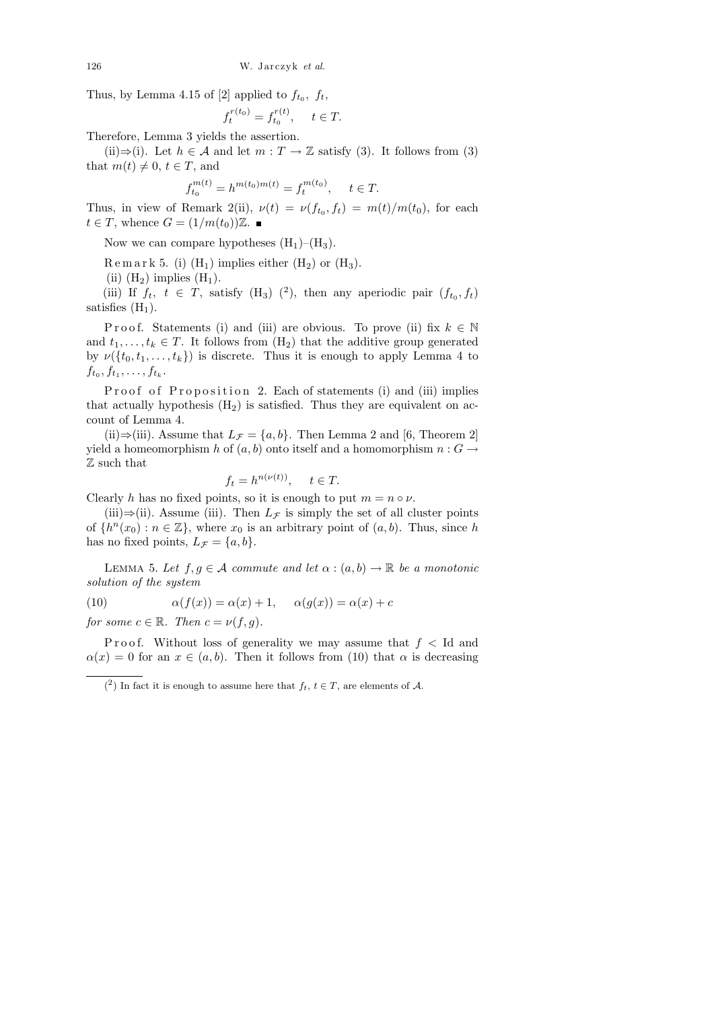Thus, by Lemma 4.15 of [2] applied to  $f_{t_0}$ ,  $f_t$ ,

$$
f_t^{r(t_0)} = f_{t_0}^{r(t)}, \quad t \in T.
$$

Therefore, Lemma 3 yields the assertion.

(ii)⇒(i). Let  $h \in \mathcal{A}$  and let  $m : T \to \mathbb{Z}$  satisfy (3). It follows from (3) that  $m(t) \neq 0, t \in T$ , and

$$
f_{t_0}^{m(t)} = h^{m(t_0)m(t)} = f_t^{m(t_0)}, \quad t \in T.
$$

Thus, in view of Remark 2(ii),  $\nu(t) = \nu(f_{t_0}, f_t) = m(t)/m(t_0)$ , for each  $t \in T$ , whence  $G = (1/m(t_0))\mathbb{Z}$ .

Now we can compare hypotheses  $(H_1)$ – $(H_3)$ .

 $R$  e m a r k 5. (i)  $(H_1)$  implies either  $(H_2)$  or  $(H_3)$ .

(ii)  $(H_2)$  implies  $(H_1)$ .

(iii) If  $f_t$ ,  $t \in T$ , satisfy  $(H_3)$  (<sup>2</sup>), then any aperiodic pair  $(f_{t_0}, f_t)$ satisfies  $(H_1)$ .

P r o o f. Statements (i) and (iii) are obvious. To prove (ii) fix  $k \in \mathbb{N}$ and  $t_1, \ldots, t_k \in T$ . It follows from  $(H_2)$  that the additive group generated by  $\nu({t_0, t_1, \ldots, t_k})$  is discrete. Thus it is enough to apply Lemma 4 to  $f_{t_0}, f_{t_1}, \ldots, f_{t_k}.$ 

Proof of Proposition 2. Each of statements (i) and (iii) implies that actually hypothesis  $(H_2)$  is satisfied. Thus they are equivalent on account of Lemma 4.

(ii)⇒(iii). Assume that  $L_{\mathcal{F}} = \{a, b\}$ . Then Lemma 2 and [6, Theorem 2] yield a homeomorphism h of  $(a, b)$  onto itself and a homomorphism  $n : G \to$ Z such that

$$
f_t = h^{n(\nu(t))}, \quad t \in T.
$$

Clearly h has no fixed points, so it is enough to put  $m = n \circ \nu$ .

(iii)⇒(ii). Assume (iii). Then  $L_{\mathcal{F}}$  is simply the set of all cluster points of  $\{h^{n}(x_0) : n \in \mathbb{Z}\},\$  where  $x_0$  is an arbitrary point of  $(a, b)$ . Thus, since h has no fixed points,  $L_{\mathcal{F}} = \{a, b\}.$ 

LEMMA 5. Let  $f, g \in \mathcal{A}$  commute and let  $\alpha : (a, b) \to \mathbb{R}$  be a monotonic solution of the system

(10) 
$$
\alpha(f(x)) = \alpha(x) + 1, \quad \alpha(g(x)) = \alpha(x) + c
$$

for some  $c \in \mathbb{R}$ . Then  $c = \nu(f, g)$ .

P r o o f. Without loss of generality we may assume that  $f <$  Id and  $\alpha(x) = 0$  for an  $x \in (a, b)$ . Then it follows from (10) that  $\alpha$  is decreasing

 $(2)$  In fact it is enough to assume here that  $f_t, t \in T$ , are elements of A.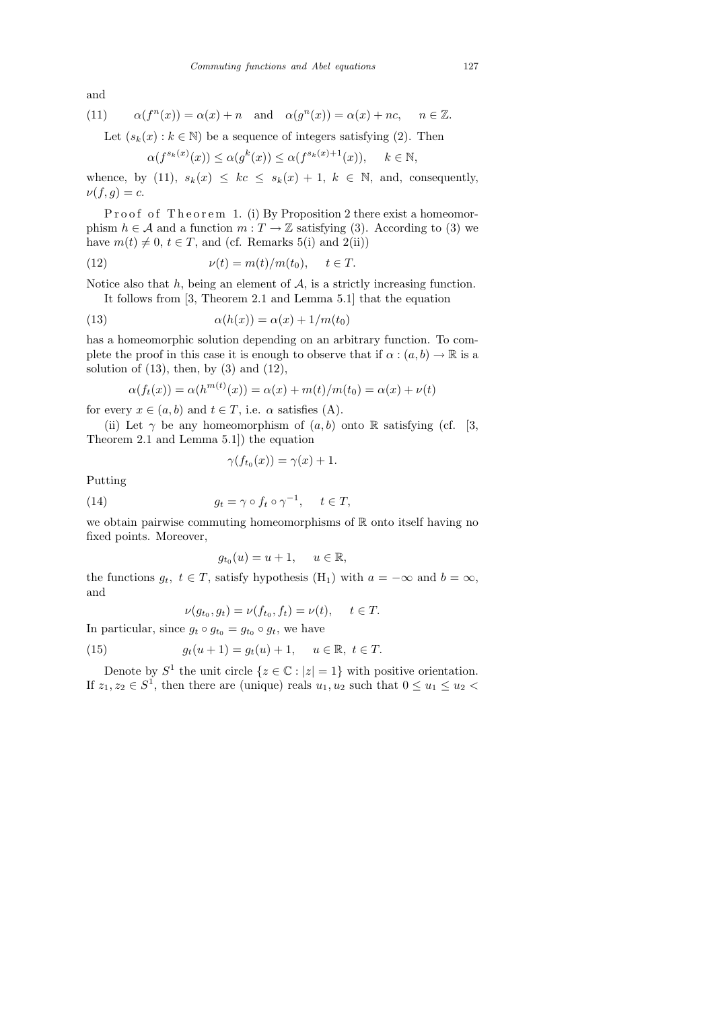and

(11) 
$$
\alpha(f^{n}(x)) = \alpha(x) + n
$$
 and  $\alpha(g^{n}(x)) = \alpha(x) + nc, \quad n \in \mathbb{Z}$ .

Let  $(s_k(x): k \in \mathbb{N})$  be a sequence of integers satisfying (2). Then

$$
\alpha(f^{s_k(x)}(x)) \le \alpha(g^k(x)) \le \alpha(f^{s_k(x)+1}(x)), \quad k \in \mathbb{N},
$$

whence, by (11),  $s_k(x) \leq kc \leq s_k(x) + 1$ ,  $k \in \mathbb{N}$ , and, consequently,  $\nu(f,g)=c.$ 

Proof of Theorem 1. (i) By Proposition 2 there exist a homeomorphism  $h \in \mathcal{A}$  and a function  $m : T \to \mathbb{Z}$  satisfying (3). According to (3) we have  $m(t) \neq 0, t \in T$ , and (cf. Remarks 5(i) and 2(ii))

(12) 
$$
\nu(t) = m(t)/m(t_0), \quad t \in T.
$$

Notice also that  $h$ , being an element of  $A$ , is a strictly increasing function.

It follows from [3, Theorem 2.1 and Lemma 5.1] that the equation

(13) 
$$
\alpha(h(x)) = \alpha(x) + 1/m(t_0)
$$

has a homeomorphic solution depending on an arbitrary function. To complete the proof in this case it is enough to observe that if  $\alpha : (a, b) \to \mathbb{R}$  is a solution of  $(13)$ , then, by  $(3)$  and  $(12)$ ,

$$
\alpha(f_t(x)) = \alpha(h^{m(t)}(x)) = \alpha(x) + m(t)/m(t_0) = \alpha(x) + \nu(t)
$$

for every  $x \in (a, b)$  and  $t \in T$ , i.e.  $\alpha$  satisfies (A).

(ii) Let  $\gamma$  be any homeomorphism of  $(a, b)$  onto R satisfying (cf. [3, Theorem 2.1 and Lemma 5.1]) the equation

$$
\gamma(f_{t_0}(x)) = \gamma(x) + 1.
$$

Putting

(14) 
$$
g_t = \gamma \circ f_t \circ \gamma^{-1}, \quad t \in T,
$$

we obtain pairwise commuting homeomorphisms of  $\mathbb R$  onto itself having no fixed points. Moreover,

$$
g_{t_0}(u) = u + 1, \quad u \in \mathbb{R},
$$

the functions  $g_t$ ,  $t \in T$ , satisfy hypothesis (H<sub>1</sub>) with  $a = -\infty$  and  $b = \infty$ , and

$$
\nu(g_{t_0}, g_t) = \nu(f_{t_0}, f_t) = \nu(t), \quad t \in T.
$$

In particular, since  $g_t \circ g_{t_0} = g_{t_0} \circ g_t$ , we have

(15) 
$$
g_t(u+1) = g_t(u) + 1, \quad u \in \mathbb{R}, \ t \in T.
$$

Denote by  $S^1$  the unit circle  $\{z \in \mathbb{C} : |z| = 1\}$  with positive orientation. If  $z_1, z_2 \in S^1$ , then there are (unique) reals  $u_1, u_2$  such that  $0 \le u_1 \le u_2$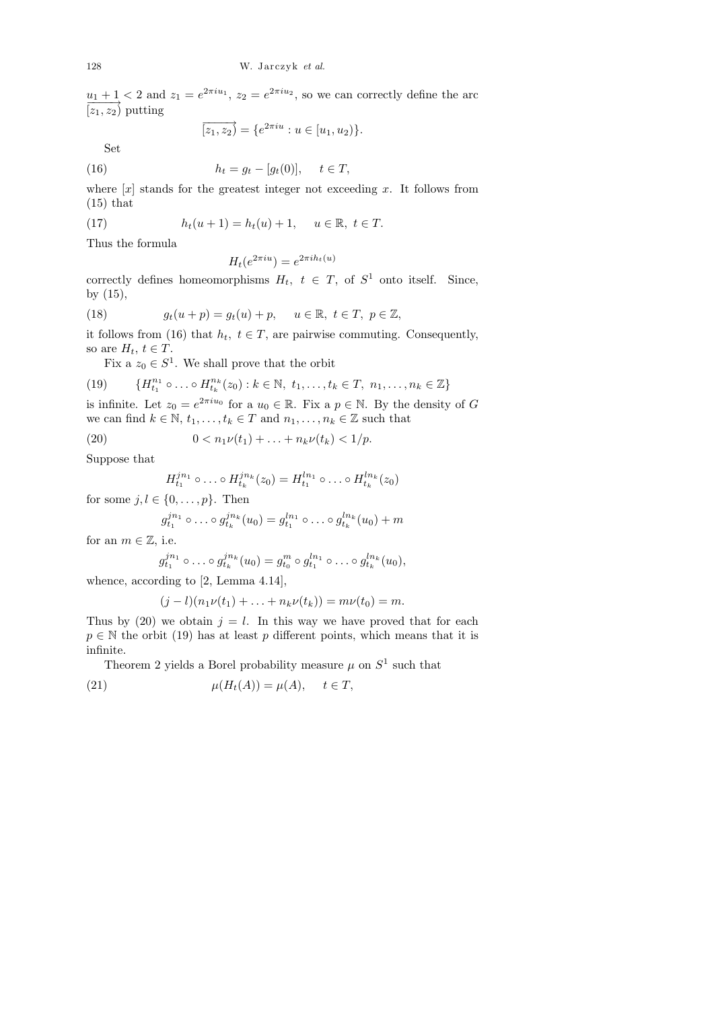$u_1 + 1 < 2$  and  $z_1 = e^{2\pi i u_1}$ ,  $z_2 = e^{2\pi i u_2}$ , so we can correctly define the arc  $\overline{[z_1,z_2]}$  putting

$$
\overrightarrow{[z_1, z_2]} = \{e^{2\pi i u} : u \in [u_1, u_2)\}.
$$

Set

(16) 
$$
h_t = g_t - [g_t(0)], \quad t \in T,
$$

where  $[x]$  stands for the greatest integer not exceeding x. It follows from  $(15)$  that

(17) 
$$
h_t(u+1) = h_t(u) + 1, \quad u \in \mathbb{R}, \ t \in T.
$$

Thus the formula

$$
H_t(e^{2\pi iu}) = e^{2\pi i h_t(u)}
$$

correctly defines homeomorphisms  $H_t$ ,  $t \in T$ , of  $S^1$  onto itself. Since, by (15),

(18) 
$$
g_t(u+p) = g_t(u) + p, \quad u \in \mathbb{R}, t \in T, p \in \mathbb{Z},
$$

it follows from (16) that  $h_t$ ,  $t \in T$ , are pairwise commuting. Consequently, so are  $H_t$ ,  $t \in T$ .

Fix a  $z_0 \in S^1$ . We shall prove that the orbit

(19) 
$$
\{H_{t_1}^{n_1} \circ \ldots \circ H_{t_k}^{n_k}(z_0) : k \in \mathbb{N}, t_1, \ldots, t_k \in T, n_1, \ldots, n_k \in \mathbb{Z}\}
$$

is infinite. Let  $z_0 = e^{2\pi i u_0}$  for a  $u_0 \in \mathbb{R}$ . Fix a  $p \in \mathbb{N}$ . By the density of G we can find  $k \in \mathbb{N}$ ,  $t_1, \ldots, t_k \in T$  and  $n_1, \ldots, n_k \in \mathbb{Z}$  such that

(20) 
$$
0 < n_1 \nu(t_1) + \ldots + n_k \nu(t_k) < 1/p.
$$

Suppose that

$$
H_{t_1}^{j n_1} \circ \ldots \circ H_{t_k}^{j n_k}(z_0) = H_{t_1}^{l n_1} \circ \ldots \circ H_{t_k}^{l n_k}(z_0)
$$

for some  $j, l \in \{0, \ldots, p\}$ . Then

$$
g_{t_1}^{jn_1} \circ \ldots \circ g_{t_k}^{jn_k}(u_0) = g_{t_1}^{l n_1} \circ \ldots \circ g_{t_k}^{l n_k}(u_0) + m
$$

for an  $m \in \mathbb{Z}$ , i.e.

$$
g_{t_1}^{jn_1} \circ \ldots \circ g_{t_k}^{jn_k}(u_0) = g_{t_0}^m \circ g_{t_1}^{l n_1} \circ \ldots \circ g_{t_k}^{l n_k}(u_0),
$$

whence, according to [2, Lemma 4.14],

$$
(j-l)(n_1\nu(t_1)+\ldots+n_k\nu(t_k))=m\nu(t_0)=m.
$$

Thus by (20) we obtain  $j = l$ . In this way we have proved that for each  $p \in \mathbb{N}$  the orbit (19) has at least p different points, which means that it is infinite.

Theorem 2 yields a Borel probability measure  $\mu$  on  $S^1$  such that

(21) 
$$
\mu(H_t(A)) = \mu(A), \quad t \in T,
$$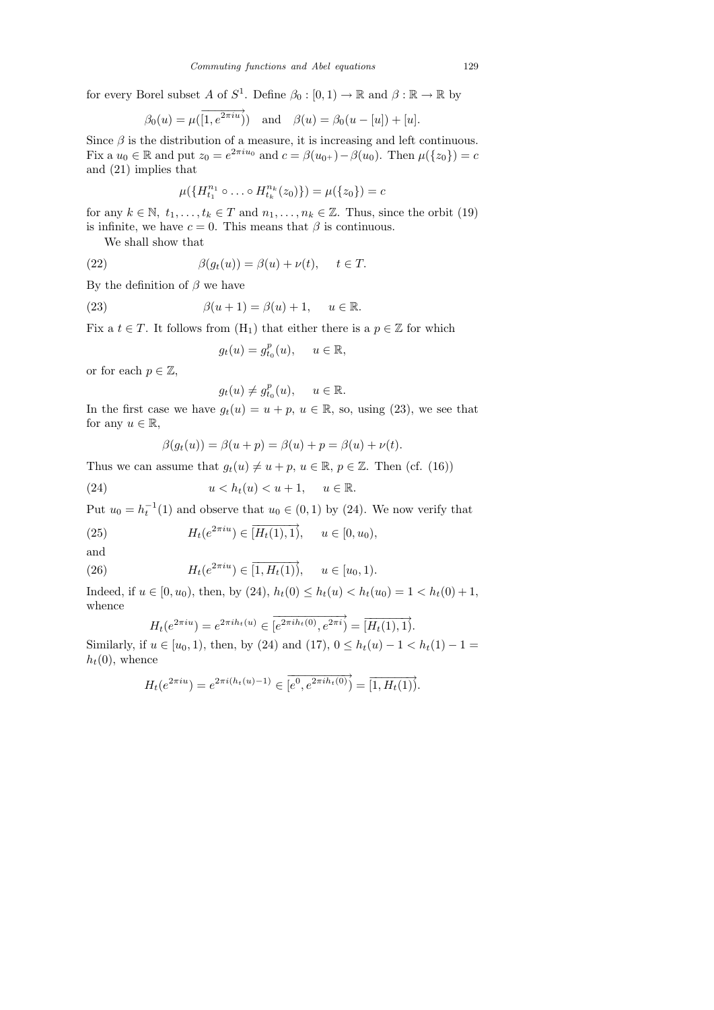for every Borel subset A of  $S^1$ . Define  $\beta_0 : [0,1) \to \mathbb{R}$  and  $\beta : \mathbb{R} \to \mathbb{R}$  by

$$
\beta_0(u) = \mu(\overrightarrow{1, e^{2\pi i u}})
$$
 and  $\beta(u) = \beta_0(u - [u]) + [u].$ 

Since  $\beta$  is the distribution of a measure, it is increasing and left continuous. Fix a  $u_0 \in \mathbb{R}$  and put  $z_0 = e^{2\pi i u_0}$  and  $c = \beta(u_0 +) - \beta(u_0)$ . Then  $\mu({z_0}) = c$ and (21) implies that

$$
\mu(\{H_{t_1}^{n_1} \circ \ldots \circ H_{t_k}^{n_k}(z_0)\}) = \mu(\{z_0\}) = c
$$

for any  $k \in \mathbb{N}, t_1, \ldots, t_k \in T$  and  $n_1, \ldots, n_k \in \mathbb{Z}$ . Thus, since the orbit (19) is infinite, we have  $c = 0$ . This means that  $\beta$  is continuous.

We shall show that

(22) 
$$
\beta(g_t(u)) = \beta(u) + \nu(t), \quad t \in T.
$$

By the definition of  $\beta$  we have

(23) 
$$
\beta(u+1) = \beta(u) + 1, \quad u \in \mathbb{R}.
$$

Fix a  $t \in T$ . It follows from  $(H_1)$  that either there is a  $p \in \mathbb{Z}$  for which

$$
g_t(u) = g_{t_0}^p(u), \quad u \in \mathbb{R},
$$

or for each  $p \in \mathbb{Z}$ ,

$$
g_t(u) \neq g_{t_0}^p(u), \quad u \in \mathbb{R}.
$$

In the first case we have  $g_t(u) = u + p$ ,  $u \in \mathbb{R}$ , so, using (23), we see that for any  $u \in \mathbb{R}$ ,

$$
\beta(g_t(u)) = \beta(u+p) = \beta(u)+p = \beta(u)+\nu(t).
$$

Thus we can assume that  $g_t(u) \neq u + p$ ,  $u \in \mathbb{R}$ ,  $p \in \mathbb{Z}$ . Then (cf. (16))

(24) 
$$
u < h_t(u) < u + 1, \quad u \in \mathbb{R}.
$$

Put  $u_0 = h_t^{-1}(1)$  and observe that  $u_0 \in (0,1)$  by  $(24)$ . We now verify that

(25) 
$$
H_t(e^{2\pi i u}) \in \overrightarrow{[H_t(1), 1]}, \quad u \in [0, u_0),
$$

and

(26) 
$$
H_t(e^{2\pi i u}) \in \overrightarrow{[1, H_t(1)]}, \quad u \in [u_0, 1).
$$

Indeed, if  $u \in [0, u_0)$ , then, by  $(24)$ ,  $h_t(0) \leq h_t(u) < h_t(u_0) = 1 < h_t(0) + 1$ , whence

$$
H_t(e^{2\pi i u}) = e^{2\pi i h_t(u)} \in \overrightarrow{[e^{2\pi i h_t(0)}, e^{2\pi i})} = \overrightarrow{[H_t(1), 1)}.
$$

Similarly, if  $u \in [u_0, 1)$ , then, by (24) and (17),  $0 \le h_t(u) - 1 < h_t(1) - 1 =$  $h_t(0)$ , whence

$$
H_t(e^{2\pi iu}) = e^{2\pi i (h_t(u)-1)} \in \overrightarrow{[e^0, e^{2\pi i h_t(0)})} = \overrightarrow{[1, H_t(1))}.
$$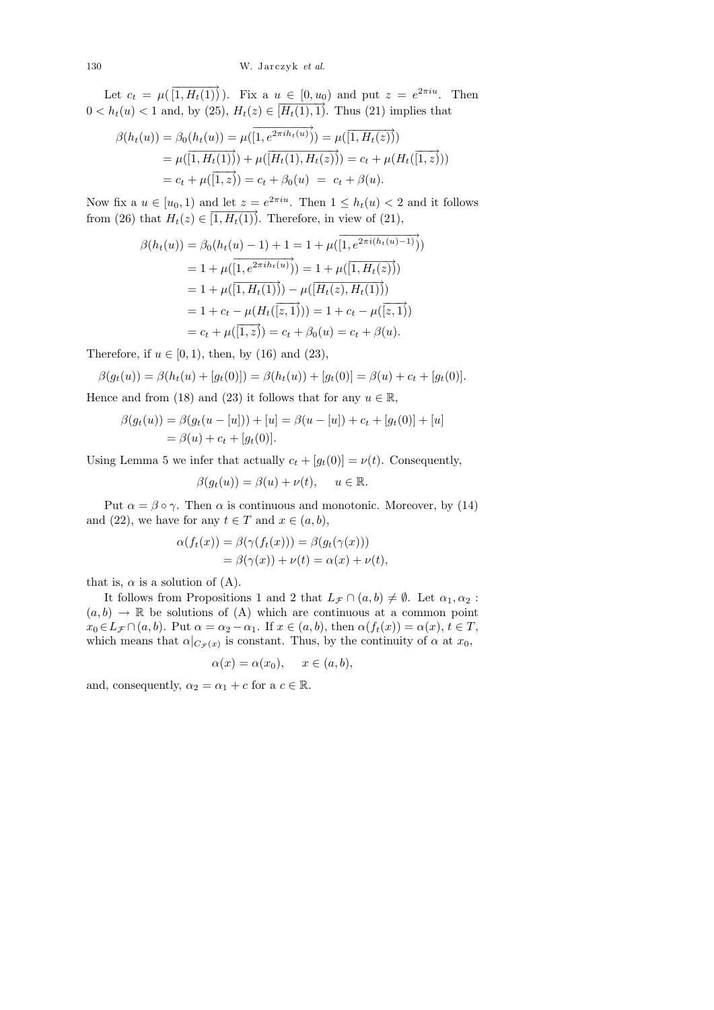130 W. Jarczyk *et al.*

Let  $c_t = \mu(\overrightarrow{[1, H_t(1)]})$ . Fix a  $u \in [0, u_0)$  and put  $z = e^{2\pi i u}$ . Then  $0 < h_t(u) < 1$  and, by (25),  $H_t(z) \in \overline{[H_t(1),1)}$ . Thus (21) implies that

$$
\beta(h_t(u)) = \beta_0(h_t(u)) = \mu(\overline{[1, e^{2\pi i h_t(u)}]}) = \mu(\overline{[1, H_t(z)})
$$
  
=  $\mu(\overline{[1, H_t(1)]}) + \mu(\overline{[H_t(1), H_t(z)}) = c_t + \mu(H_t(\overline{[1, z]}))$   
=  $c_t + \mu(\overline{[1, z]}) = c_t + \beta_0(u) = c_t + \beta(u).$ 

Now fix a  $u \in [u_0, 1)$  and let  $z = e^{2\pi i u}$ . Then  $1 \leq h_t(u) < 2$  and it follows from (26) that  $H_t(z) \in [1, H_t(1)]$ . Therefore, in view of (21),

$$
\beta(h_t(u)) = \beta_0(h_t(u) - 1) + 1 = 1 + \mu(\overline{[1, e^{2\pi i (h_t(u) - 1)}}))
$$
  
= 1 +  $\mu(\overline{[1, e^{2\pi i h_t(u)}})) = 1 + \mu(\overline{[1, H_t(z)}))$   
= 1 +  $\mu(\overline{[1, H_t(1)])} - \mu(\overline{[H_t(z), H_t(1)}))$   
= 1 +  $c_t - \mu(H_t(\overline{[z, 1]})) = 1 + c_t - \mu(\overline{[z, 1]})$   
=  $c_t + \mu(\overline{[1, z)}) = c_t + \beta_0(u) = c_t + \beta(u).$ 

Therefore, if  $u \in [0, 1)$ , then, by (16) and (23),

 $\beta(g_t(u)) = \beta(h_t(u) + [g_t(0)]) = \beta(h_t(u)) + [g_t(0)] = \beta(u) + c_t + [g_t(0)].$ 

Hence and from (18) and (23) it follows that for any  $u \in \mathbb{R}$ ,

$$
\beta(g_t(u)) = \beta(g_t(u - [u])) + [u] = \beta(u - [u]) + c_t + [g_t(0)] + [u]
$$
  
=  $\beta(u) + c_t + [g_t(0)].$ 

Using Lemma 5 we infer that actually  $c_t + [g_t(0)] = \nu(t)$ . Consequently,

$$
\beta(g_t(u)) = \beta(u) + \nu(t), \quad u \in \mathbb{R}.
$$

Put  $\alpha = \beta \circ \gamma$ . Then  $\alpha$  is continuous and monotonic. Moreover, by (14) and (22), we have for any  $t \in T$  and  $x \in (a, b)$ ,

$$
\alpha(f_t(x)) = \beta(\gamma(f_t(x))) = \beta(g_t(\gamma(x)))
$$
  
=  $\beta(\gamma(x)) + \nu(t) = \alpha(x) + \nu(t),$ 

that is,  $\alpha$  is a solution of (A).

It follows from Propositions 1 and 2 that  $L_{\mathcal{F}} \cap (a, b) \neq \emptyset$ . Let  $\alpha_1, \alpha_2$ :  $(a, b) \rightarrow \mathbb{R}$  be solutions of (A) which are continuous at a common point  $x_0 \in L_{\mathcal{F}} \cap (a, b)$ . Put  $\alpha = \alpha_2 - \alpha_1$ . If  $x \in (a, b)$ , then  $\alpha(f_t(x)) = \alpha(x)$ ,  $t \in T$ , which means that  $\alpha|_{C_{\mathcal{F}}(x)}$  is constant. Thus, by the continuity of  $\alpha$  at  $x_0$ ,

$$
\alpha(x) = \alpha(x_0), \quad x \in (a, b),
$$

and, consequently,  $\alpha_2 = \alpha_1 + c$  for a  $c \in \mathbb{R}$ .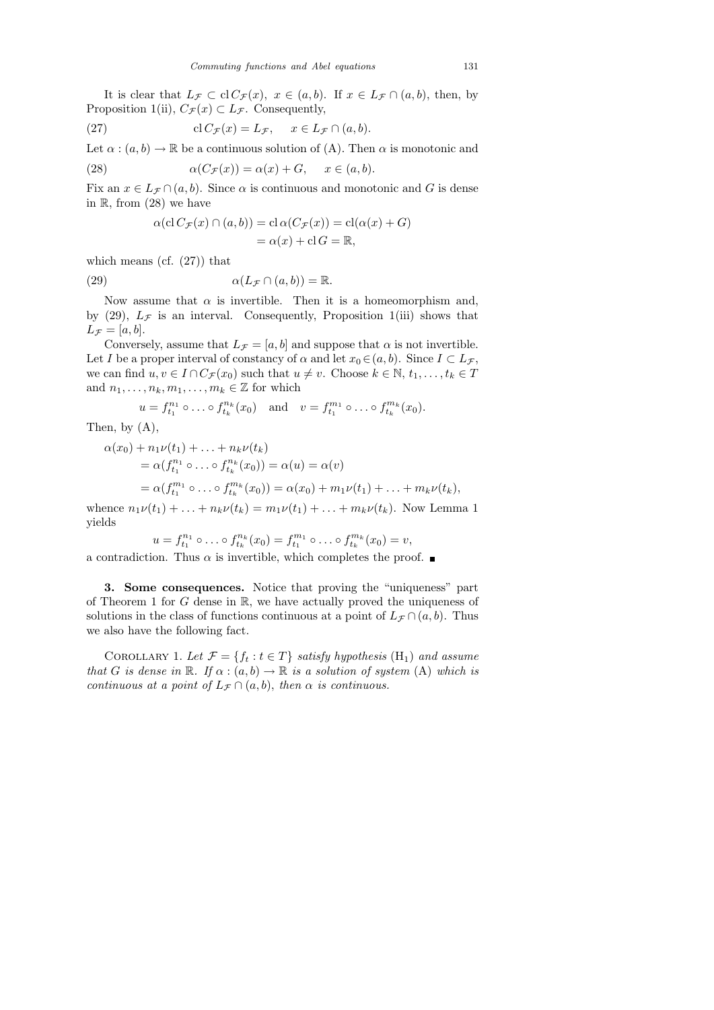It is clear that  $L_{\mathcal{F}} \subset \text{cl } C_{\mathcal{F}}(x)$ ,  $x \in (a, b)$ . If  $x \in L_{\mathcal{F}} \cap (a, b)$ , then, by Proposition 1(ii),  $C_{\mathcal{F}}(x) \subset L_{\mathcal{F}}$ . Consequently,

(27) 
$$
\operatorname{cl} C_{\mathcal{F}}(x) = L_{\mathcal{F}}, \quad x \in L_{\mathcal{F}} \cap (a, b).
$$

Let  $\alpha : (a, b) \to \mathbb{R}$  be a continuous solution of (A). Then  $\alpha$  is monotonic and

(28) 
$$
\alpha(C_{\mathcal{F}}(x)) = \alpha(x) + G, \quad x \in (a, b).
$$

Fix an  $x \in L_{\mathcal{F}} \cap (a, b)$ . Since  $\alpha$  is continuous and monotonic and G is dense in  $\mathbb{R}$ , from (28) we have

$$
\alpha(\operatorname{cl} C_{\mathcal{F}}(x) \cap (a, b)) = \operatorname{cl} \alpha(C_{\mathcal{F}}(x)) = \operatorname{cl}(\alpha(x) + G)
$$

$$
= \alpha(x) + \operatorname{cl} G = \mathbb{R},
$$

which means (cf.  $(27)$ ) that

(29) 
$$
\alpha(L_{\mathcal{F}} \cap (a,b)) = \mathbb{R}.
$$

Now assume that  $\alpha$  is invertible. Then it is a homeomorphism and, by (29),  $L_{\mathcal{F}}$  is an interval. Consequently, Proposition 1(iii) shows that  $L_{\mathcal{F}} = [a, b].$ 

Conversely, assume that  $L_{\mathcal{F}} = [a, b]$  and suppose that  $\alpha$  is not invertible. Let I be a proper interval of constancy of  $\alpha$  and let  $x_0 \in (a, b)$ . Since  $I \subset L_{\mathcal{F}}$ , we can find  $u, v \in I \cap C_{\mathcal{F}}(x_0)$  such that  $u \neq v$ . Choose  $k \in \mathbb{N}, t_1, \ldots, t_k \in T$ and  $n_1, \ldots, n_k, m_1, \ldots, m_k \in \mathbb{Z}$  for which

$$
u = f_{t_1}^{n_1} \circ \dots \circ f_{t_k}^{n_k}(x_0)
$$
 and  $v = f_{t_1}^{m_1} \circ \dots \circ f_{t_k}^{m_k}(x_0)$ .

Then, by (A),

$$
\alpha(x_0) + n_1 \nu(t_1) + \ldots + n_k \nu(t_k)
$$
  
=  $\alpha(f_{t_1}^{n_1} \circ \ldots \circ f_{t_k}^{n_k}(x_0)) = \alpha(u) = \alpha(v)$   
=  $\alpha(f_{t_1}^{m_1} \circ \ldots \circ f_{t_k}^{m_k}(x_0)) = \alpha(x_0) + m_1 \nu(t_1) + \ldots + m_k \nu(t_k),$ 

whence  $n_1\nu(t_1) + ... + n_k\nu(t_k) = m_1\nu(t_1) + ... + m_k\nu(t_k)$ . Now Lemma 1 yields

$$
u = f_{t_1}^{n_1} \circ \dots \circ f_{t_k}^{n_k}(x_0) = f_{t_1}^{m_1} \circ \dots \circ f_{t_k}^{m_k}(x_0) = v,
$$

a contradiction. Thus  $\alpha$  is invertible, which completes the proof.  $\blacksquare$ 

3. Some consequences. Notice that proving the "uniqueness" part of Theorem 1 for  $G$  dense in  $\mathbb{R}$ , we have actually proved the uniqueness of solutions in the class of functions continuous at a point of  $L_{\mathcal{F}} \cap (a, b)$ . Thus we also have the following fact.

COROLLARY 1. Let  $\mathcal{F} = \{f_t : t \in T\}$  satisfy hypothesis  $(H_1)$  and assume that G is dense in R. If  $\alpha : (a, b) \to \mathbb{R}$  is a solution of system (A) which is continuous at a point of  $L_{\mathcal{F}} \cap (a, b)$ , then  $\alpha$  is continuous.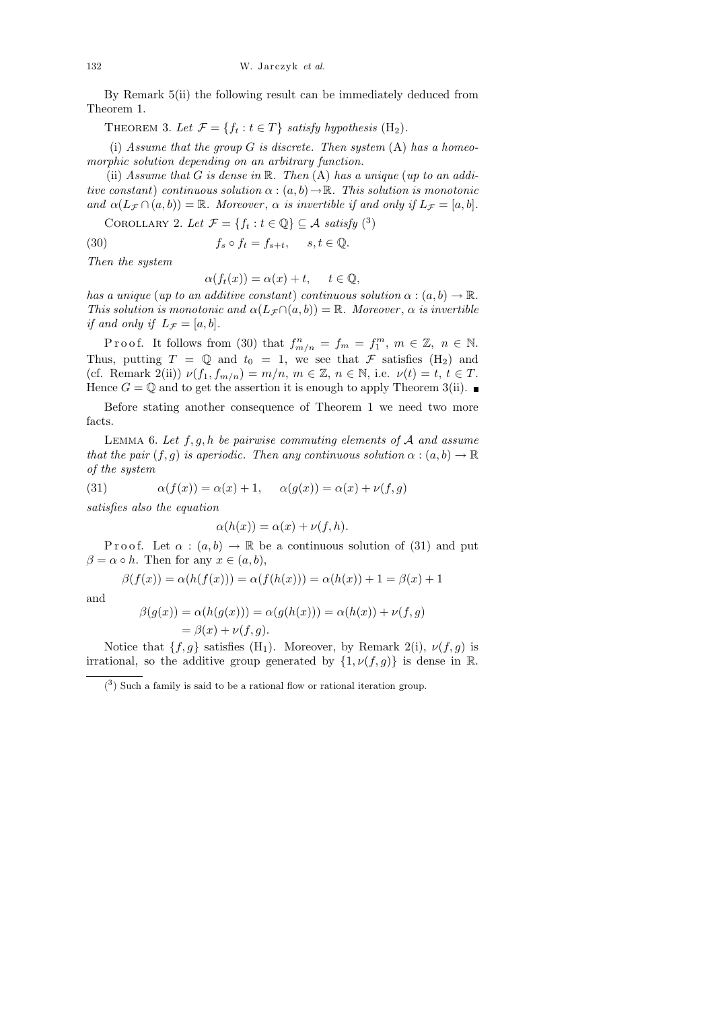By Remark 5(ii) the following result can be immediately deduced from Theorem 1.

THEOREM 3. Let  $\mathcal{F} = \{f_t : t \in T\}$  satisfy hypothesis  $(H_2)$ .

(i) Assume that the group  $G$  is discrete. Then system  $(A)$  has a homeomorphic solution depending on an arbitrary function.

(ii) Assume that  $G$  is dense in  $\mathbb R$ . Then  $(A)$  has a unique (up to an additive constant) continuous solution  $\alpha : (a, b) \to \mathbb{R}$ . This solution is monotonic and  $\alpha(L_{\mathcal{F}} \cap (a, b)) = \mathbb{R}$ . Moreover,  $\alpha$  is invertible if and only if  $L_{\mathcal{F}} = [a, b]$ .

COROLLARY 2. Let  $\mathcal{F} = \{f_t : t \in \mathbb{Q}\} \subseteq \mathcal{A}$  satisfy  $\binom{3}{k}$ 

(30) 
$$
f_s \circ f_t = f_{s+t}, \quad s, t \in \mathbb{Q}.
$$

Then the system

$$
\alpha(f_t(x)) = \alpha(x) + t, \quad t \in \mathbb{Q},
$$

has a unique (up to an additive constant) continuous solution  $\alpha : (a, b) \to \mathbb{R}$ . This solution is monotonic and  $\alpha(L_{\mathcal{F}} \cap (a, b)) = \mathbb{R}$ . Moreover,  $\alpha$  is invertible if and only if  $L_{\mathcal{F}} = [a, b]$ .

Proof. It follows from (30) that  $f_{m/n}^n = f_m = f_1^m$ ,  $m \in \mathbb{Z}$ ,  $n \in \mathbb{N}$ . Thus, putting  $T = \mathbb{Q}$  and  $t_0 = 1$ , we see that F satisfies  $(H_2)$  and (cf. Remark 2(ii))  $\nu(f_1, f_{m/n}) = m/n$ ,  $m \in \mathbb{Z}$ ,  $n \in \mathbb{N}$ , i.e.  $\nu(t) = t$ ,  $t \in T$ . Hence  $G = \mathbb{Q}$  and to get the assertion it is enough to apply Theorem 3(ii).

Before stating another consequence of Theorem 1 we need two more facts.

LEMMA 6. Let  $f, g, h$  be pairwise commuting elements of  $A$  and assume that the pair  $(f, g)$  is aperiodic. Then any continuous solution  $\alpha : (a, b) \to \mathbb{R}$ of the system

(31) 
$$
\alpha(f(x)) = \alpha(x) + 1, \quad \alpha(g(x)) = \alpha(x) + \nu(f, g)
$$

satisfies also the equation

$$
\alpha(h(x)) = \alpha(x) + \nu(f, h).
$$

P r o o f. Let  $\alpha : (a, b) \to \mathbb{R}$  be a continuous solution of (31) and put  $\beta = \alpha \circ h$ . Then for any  $x \in (a, b)$ ,

$$
\beta(f(x)) = \alpha(h(f(x))) = \alpha(f(h(x))) = \alpha(h(x)) + 1 = \beta(x) + 1
$$

and

$$
\beta(g(x)) = \alpha(h(g(x))) = \alpha(g(h(x))) = \alpha(h(x)) + \nu(f, g)
$$
  
=  $\beta(x) + \nu(f, g)$ .

Notice that  $\{f, g\}$  satisfies  $(H_1)$ . Moreover, by Remark 2(i),  $\nu(f, g)$  is irrational, so the additive group generated by  $\{1, \nu(f, g)\}\$ is dense in R.

 $(3)$  Such a family is said to be a rational flow or rational iteration group.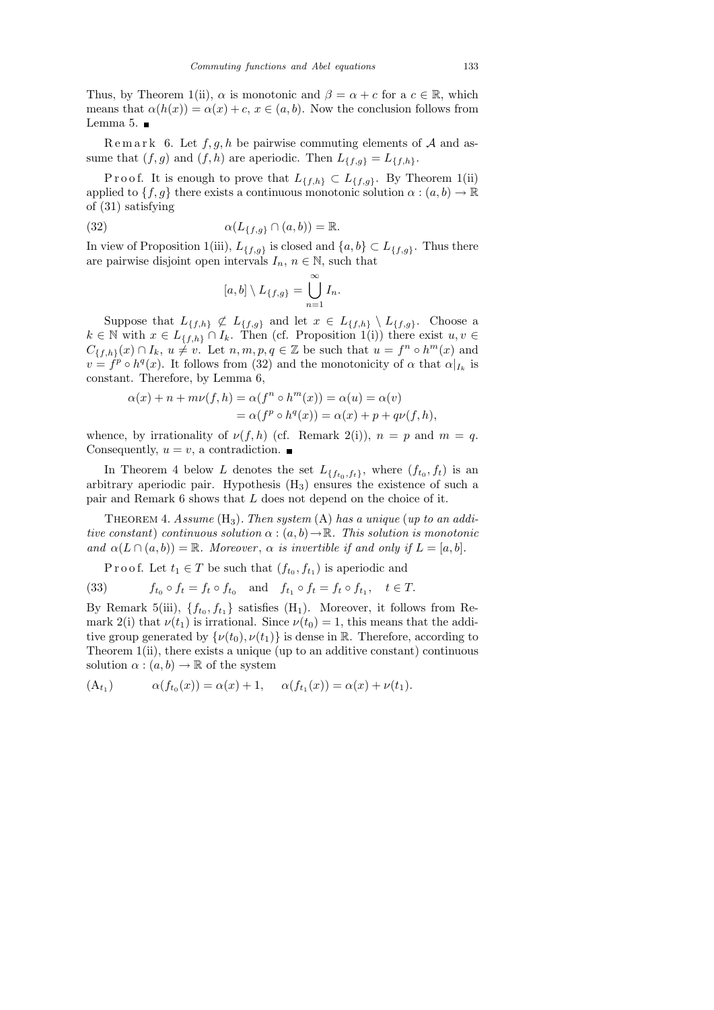Thus, by Theorem 1(ii),  $\alpha$  is monotonic and  $\beta = \alpha + c$  for a  $c \in \mathbb{R}$ , which means that  $\alpha(h(x)) = \alpha(x) + c, x \in (a, b)$ . Now the conclusion follows from Lemma 5.  $\blacksquare$ 

Remark 6. Let  $f, g, h$  be pairwise commuting elements of A and assume that  $(f, g)$  and  $(f, h)$  are aperiodic. Then  $L_{\{f,g\}} = L_{\{f,h\}}$ .

P r o o f. It is enough to prove that  $L_{\{f,h\}} \subset L_{\{f,g\}}$ . By Theorem 1(ii) applied to  $\{f, g\}$  there exists a continuous monotonic solution  $\alpha : (a, b) \to \mathbb{R}$ of (31) satisfying

(32) 
$$
\alpha(L_{\{f,g\}} \cap (a,b)) = \mathbb{R}.
$$

In view of Proposition 1(iii),  $L_{\{f,g\}}$  is closed and  $\{a,b\} \subset L_{\{f,g\}}$ . Thus there are pairwise disjoint open intervals  $I_n$ ,  $n \in \mathbb{N}$ , such that

$$
[a,b] \setminus L_{\{f,g\}} = \bigcup_{n=1}^{\infty} I_n.
$$

Suppose that  $L_{\{f,h\}} \not\subset L_{\{f,g\}}$  and let  $x \in L_{\{f,h\}} \setminus L_{\{f,g\}}$ . Choose a  $k \in \mathbb{N}$  with  $x \in L_{\{f,h\}} \cap I_k$ . Then (cf. Proposition 1(i)) there exist  $u, v \in$  $C_{\{f,h\}}(x) \cap I_k$ ,  $u \neq v$ . Let  $n, m, p, q \in \mathbb{Z}$  be such that  $u = f^n \circ h^m(x)$  and  $v = f^p \circ h^q(x)$ . It follows from (32) and the monotonicity of  $\alpha$  that  $\alpha|_{I_k}$  is constant. Therefore, by Lemma 6,

$$
\alpha(x) + n + m\nu(f, h) = \alpha(f^n \circ h^m(x)) = \alpha(u) = \alpha(v)
$$
  
= 
$$
\alpha(f^p \circ h^q(x)) = \alpha(x) + p + q\nu(f, h),
$$

whence, by irrationality of  $\nu(f, h)$  (cf. Remark 2(i)),  $n = p$  and  $m = q$ . Consequently,  $u = v$ , a contradiction.

In Theorem 4 below L denotes the set  $L_{\{f_{t_0},f_t\}}$ , where  $(f_{t_0},f_t)$  is an arbitrary aperiodic pair. Hypothesis (H3) ensures the existence of such a pair and Remark 6 shows that L does not depend on the choice of it.

THEOREM 4. Assume  $(H_3)$ . Then system  $(A)$  has a unique (up to an additive constant) continuous solution  $\alpha : (a, b) \to \mathbb{R}$ . This solution is monotonic and  $\alpha(L \cap (a, b)) = \mathbb{R}$ . Moreover,  $\alpha$  is invertible if and only if  $L = [a, b]$ .

P r o o f. Let  $t_1 \in T$  be such that  $(f_{t_0}, f_{t_1})$  is aperiodic and

(33) 
$$
f_{t_0} \circ f_t = f_t \circ f_{t_0}
$$
 and  $f_{t_1} \circ f_t = f_t \circ f_{t_1}, \quad t \in T$ .

By Remark 5(iii),  $\{f_{t_0}, f_{t_1}\}\$  satisfies  $(H_1)$ . Moreover, it follows from Remark 2(i) that  $\nu(t_1)$  is irrational. Since  $\nu(t_0) = 1$ , this means that the additive group generated by  $\{\nu(t_0), \nu(t_1)\}\$ is dense in R. Therefore, according to Theorem 1(ii), there exists a unique (up to an additive constant) continuous solution  $\alpha : (a, b) \to \mathbb{R}$  of the system

$$
(A_{t_1}) \qquad \alpha(f_{t_0}(x)) = \alpha(x) + 1, \quad \alpha(f_{t_1}(x)) = \alpha(x) + \nu(t_1).
$$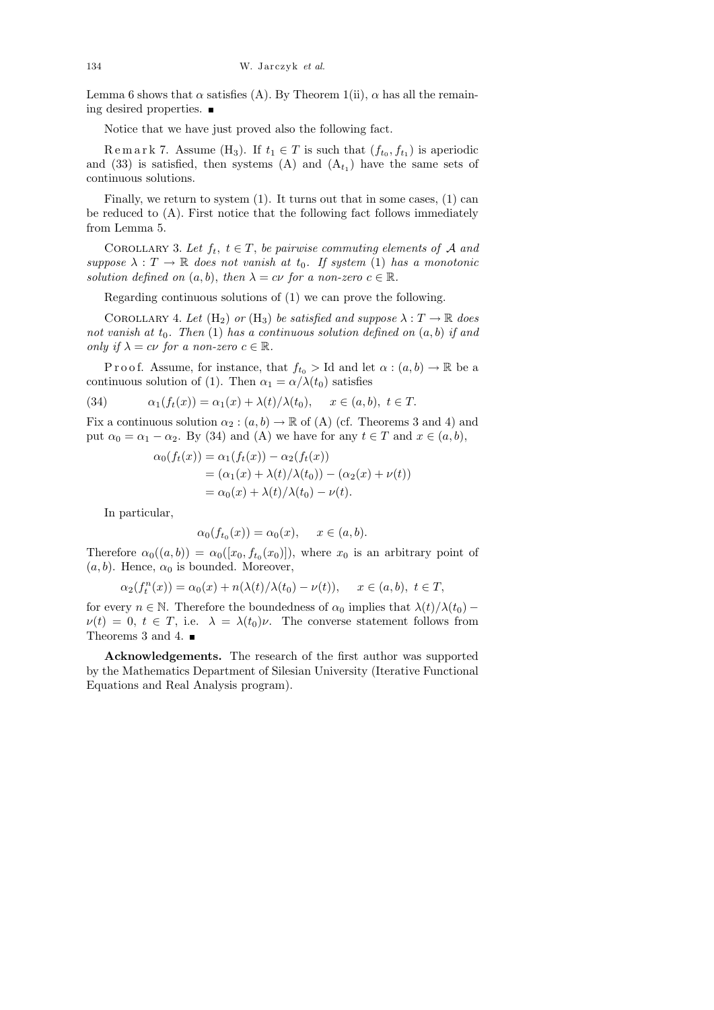Lemma 6 shows that  $\alpha$  satisfies (A). By Theorem 1(ii),  $\alpha$  has all the remaining desired properties.

Notice that we have just proved also the following fact.

Remark 7. Assume (H<sub>3</sub>). If  $t_1 \in T$  is such that  $(f_{t_0}, f_{t_1})$  is aperiodic and (33) is satisfied, then systems (A) and  $(A_{t_1})$  have the same sets of continuous solutions.

Finally, we return to system (1). It turns out that in some cases, (1) can be reduced to (A). First notice that the following fact follows immediately from Lemma 5.

COROLLARY 3. Let  $f_t$ ,  $t \in T$ , be pairwise commuting elements of A and suppose  $\lambda : T \to \mathbb{R}$  does not vanish at  $t_0$ . If system (1) has a monotonic solution defined on  $(a, b)$ , then  $\lambda = c\nu$  for a non-zero  $c \in \mathbb{R}$ .

Regarding continuous solutions of (1) we can prove the following.

COROLLARY 4. Let  $(H_2)$  or  $(H_3)$  be satisfied and suppose  $\lambda : T \to \mathbb{R}$  does not vanish at  $t_0$ . Then (1) has a continuous solution defined on  $(a, b)$  if and only if  $\lambda = c\nu$  for a non-zero  $c \in \mathbb{R}$ .

P r o o f. Assume, for instance, that  $f_{t_0} >$  Id and let  $\alpha : (a, b) \to \mathbb{R}$  be a continuous solution of (1). Then  $\alpha_1 = \alpha/\lambda(t_0)$  satisfies

(34) 
$$
\alpha_1(f_t(x)) = \alpha_1(x) + \lambda(t)/\lambda(t_0), \quad x \in (a, b), t \in T.
$$

Fix a continuous solution  $\alpha_2 : (a, b) \to \mathbb{R}$  of (A) (cf. Theorems 3 and 4) and put  $\alpha_0 = \alpha_1 - \alpha_2$ . By (34) and (A) we have for any  $t \in T$  and  $x \in (a, b)$ ,

$$
\alpha_0(f_t(x)) = \alpha_1(f_t(x)) - \alpha_2(f_t(x)) \n= (\alpha_1(x) + \lambda(t)/\lambda(t_0)) - (\alpha_2(x) + \nu(t)) \n= \alpha_0(x) + \lambda(t)/\lambda(t_0) - \nu(t).
$$

In particular,

$$
\alpha_0(f_{t_0}(x)) = \alpha_0(x), \quad x \in (a, b).
$$

Therefore  $\alpha_0((a, b)) = \alpha_0([x_0, f_{t_0}(x_0)])$ , where  $x_0$  is an arbitrary point of  $(a, b)$ . Hence,  $\alpha_0$  is bounded. Moreover,

$$
\alpha_2(f_t^n(x)) = \alpha_0(x) + n(\lambda(t)/\lambda(t_0) - \nu(t)), \quad x \in (a, b), t \in T,
$$

for every  $n \in \mathbb{N}$ . Therefore the boundedness of  $\alpha_0$  implies that  $\lambda(t)/\lambda(t_0)$  –  $\nu(t) = 0, t \in T$ , i.e.  $\lambda = \lambda(t_0)\nu$ . The converse statement follows from Theorems 3 and 4.  $\blacksquare$ 

Acknowledgements. The research of the first author was supported by the Mathematics Department of Silesian University (Iterative Functional Equations and Real Analysis program).